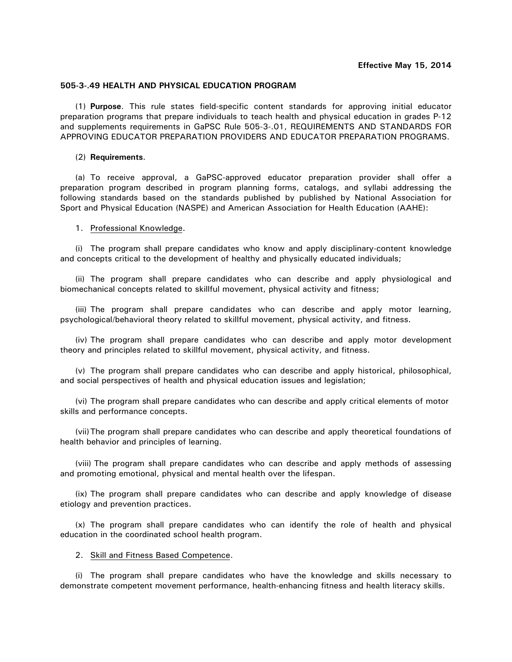## **505-3-.49 HEALTH AND PHYSICAL EDUCATION PROGRAM**

(1) **Purpose**. This rule states field-specific content standards for approving initial educator preparation programs that prepare individuals to teach health and physical education in grades P-12 and supplements requirements in GaPSC Rule 505-3-.01, REQUIREMENTS AND STANDARDS FOR APPROVING EDUCATOR PREPARATION PROVIDERS AND EDUCATOR PREPARATION PROGRAMS.

## (2) **Requirements**.

(a) To receive approval, a GaPSC-approved educator preparation provider shall offer a preparation program described in program planning forms, catalogs, and syllabi addressing the following standards based on the standards published by published by National Association for Sport and Physical Education (NASPE) and American Association for Health Education (AAHE):

## 1. Professional Knowledge.

(i) The program shall prepare candidates who know and apply disciplinary-content knowledge and concepts critical to the development of healthy and physically educated individuals;

(ii) The program shall prepare candidates who can describe and apply physiological and biomechanical concepts related to skillful movement, physical activity and fitness;

(iii) The program shall prepare candidates who can describe and apply motor learning, psychological/behavioral theory related to skillful movement, physical activity, and fitness.

(iv) The program shall prepare candidates who can describe and apply motor development theory and principles related to skillful movement, physical activity, and fitness.

(v) The program shall prepare candidates who can describe and apply historical, philosophical, and social perspectives of health and physical education issues and legislation;

(vi) The program shall prepare candidates who can describe and apply critical elements of motor skills and performance concepts.

(vii)The program shall prepare candidates who can describe and apply theoretical foundations of health behavior and principles of learning.

(viii) The program shall prepare candidates who can describe and apply methods of assessing and promoting emotional, physical and mental health over the lifespan.

(ix) The program shall prepare candidates who can describe and apply knowledge of disease etiology and prevention practices.

(x) The program shall prepare candidates who can identify the role of health and physical education in the coordinated school health program.

## 2. Skill and Fitness Based Competence.

(i) The program shall prepare candidates who have the knowledge and skills necessary to demonstrate competent movement performance, health-enhancing fitness and health literacy skills.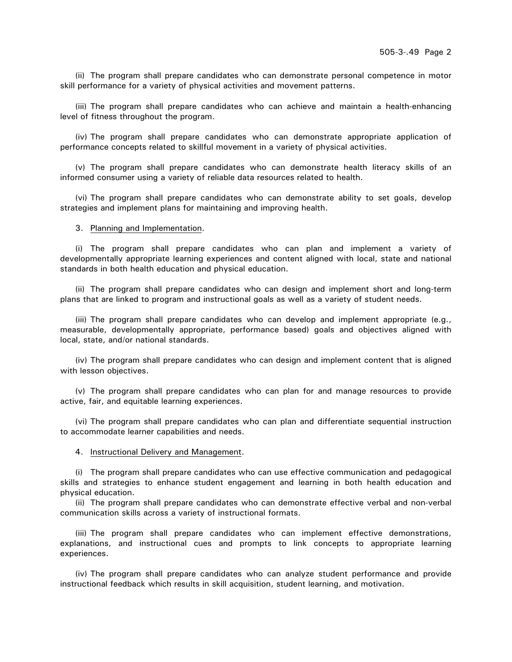(ii) The program shall prepare candidates who can demonstrate personal competence in motor skill performance for a variety of physical activities and movement patterns.

(iii) The program shall prepare candidates who can achieve and maintain a health-enhancing level of fitness throughout the program.

(iv) The program shall prepare candidates who can demonstrate appropriate application of performance concepts related to skillful movement in a variety of physical activities.

(v) The program shall prepare candidates who can demonstrate health literacy skills of an informed consumer using a variety of reliable data resources related to health.

(vi) The program shall prepare candidates who can demonstrate ability to set goals, develop strategies and implement plans for maintaining and improving health.

3. Planning and Implementation.

(i) The program shall prepare candidates who can plan and implement a variety of developmentally appropriate learning experiences and content aligned with local, state and national standards in both health education and physical education.

(ii) The program shall prepare candidates who can design and implement short and long-term plans that are linked to program and instructional goals as well as a variety of student needs.

(iii) The program shall prepare candidates who can develop and implement appropriate (e.g., measurable, developmentally appropriate, performance based) goals and objectives aligned with local, state, and/or national standards.

(iv) The program shall prepare candidates who can design and implement content that is aligned with lesson objectives.

(v) The program shall prepare candidates who can plan for and manage resources to provide active, fair, and equitable learning experiences.

(vi) The program shall prepare candidates who can plan and differentiate sequential instruction to accommodate learner capabilities and needs.

4. Instructional Delivery and Management.

(i) The program shall prepare candidates who can use effective communication and pedagogical skills and strategies to enhance student engagement and learning in both health education and physical education.

(ii) The program shall prepare candidates who can demonstrate effective verbal and non-verbal communication skills across a variety of instructional formats.

(iii) The program shall prepare candidates who can implement effective demonstrations, explanations, and instructional cues and prompts to link concepts to appropriate learning experiences.

(iv) The program shall prepare candidates who can analyze student performance and provide instructional feedback which results in skill acquisition, student learning, and motivation.